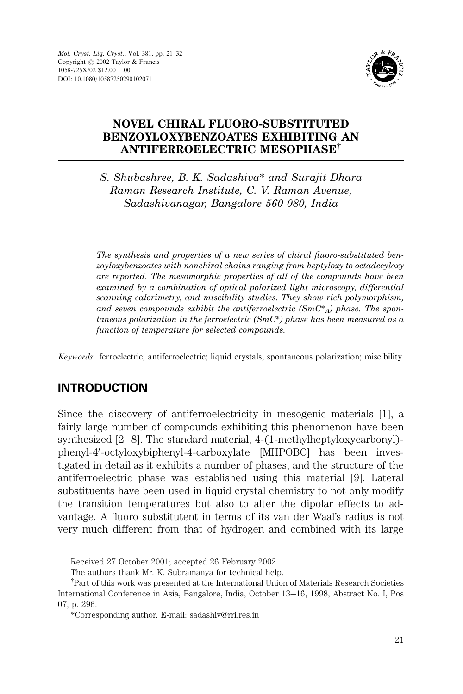

# NOVEL CHIRAL FLUORO-SUBSTITUTED BENZOYLOXYBENZOATES EXHIBITING AN  $\mathbf A$ NTIFERROELECTRIC MESOPHASE ${}^{\intercal}$

S. Shubashree, B. K. Sadashiva\* and Surajit Dhara Raman Research Institute, C. V. Raman Avenue, Sadashivanagar, Bangalore 560 080, India

The synthesis and properties of a new series of chiral fluoro-substituted benzoyloxybenzoates with nonchiral chains ranging from heptyloxy to octadecyloxy are reported. The mesomorphic properties of all of the compounds have been examined by a combination of optical polarized light microscopy, differential scanning calorimetry, and miscibility studies. They show rich polymorphism, and seven compounds exhibit the antiferroelectric  $(SmC^*_{A})$  phase. The spontaneous polarization in the ferroelectric  $(SmC^*)$  phase has been measured as a function of temperature for selected compounds.

Keywords: ferroelectric; antiferroelectric; liquid crystals; spontaneous polarization; miscibility

# INTRODUCTION

Since the discovery of antiferroelectricity in mesogenic materials [1], a fairly large number of compounds exhibiting this phenomenon have been synthesized  $[2-8]$ . The standard material, 4-(1-methylheptyloxycarbonyl)phenyl-4'-octyloxybiphenyl-4-carboxylate [MHPOBC] has been investigated in detail as it exhibits a number of phases, and the structure of the antiferroelectric phase was established using this material [9]. Lateral substituents have been used in liquid crystal chemistry to not only modify the transition temperatures but also to alter the dipolar effects to advantage. A fluoro substitutent in terms of its van der Waal's radius is not very much different from that of hydrogen and combined with its large

Received 27 October 2001; accepted 26 February 2002.

The authors thank Mr. K. Subramanya for technical help.

<sup>&</sup>lt;sup>†</sup>Part of this work was presented at the International Union of Materials Research Societies International Conference in Asia, Bangalore, India, October 13–16, 1998, Abstract No. I, Pos 07, p. 296.

<sup>\*</sup>Corresponding author. E-mail: sadashiv@rri.res.in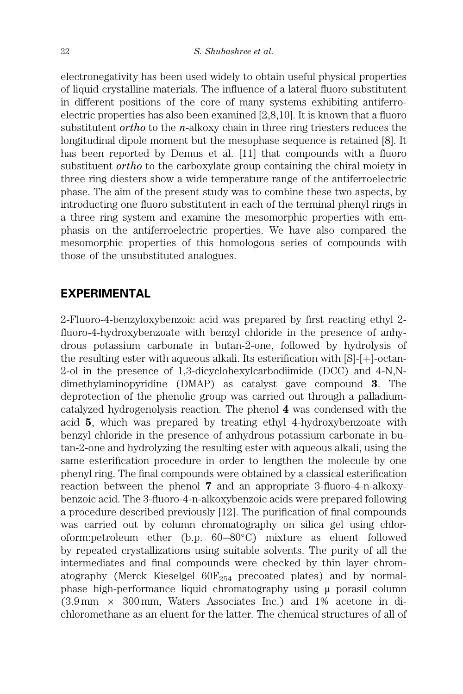electronegativity has been used widely to obtain useful physical properties of liquid crystalline materials. The influence of a lateral fluoro substitutent in different positions of the core of many systems exhibiting antiferroelectric properties has also been examined [2,8,10]. It is known that a fluoro substitutent ortho to the n-alkoxy chain in three ring triesters reduces the longitudinal dipole moment but the mesophase sequence is retained [8]. It has been reported by Demus et al. [11] that compounds with a fluoro substituent ortho to the carboxylate group containing the chiral moiety in three ring diesters show a wide temperature range of the antiferroelectric phase. The aim of the present study was to combine these two aspects, by introducting one fluoro substitutent in each of the terminal phenyl rings in a three ring system and examine the mesomorphic properties with emphasis on the antiferroelectric properties. We have also compared the mesomorphic properties of this homologous series of compounds with those of the unsubstituted analogues.

#### EXPERIMENTAL

2-Fluoro-4-benzyloxybenzoic acid was prepared by first reacting ethyl 2 fluoro-4-hydroxybenzoate with benzyl chloride in the presence of anhydrous potassium carbonate in butan-2-one, followed by hydrolysis of the resulting ester with aqueous alkali. Its esterification with  $[S]-[+]$ -octan-2-ol in the presence of 1,3-dicyclohexylcarbodiimide (DCC) and 4-N,Ndimethylaminopyridine (DMAP) as catalyst gave compound 3. The deprotection of the phenolic group was carried out through a palladiumcatalyzed hydrogenolysis reaction. The phenol 4 was condensed with the acid 5, which was prepared by treating ethyl 4-hydroxybenzoate with benzyl chloride in the presence of anhydrous potassium carbonate in butan-2-one and hydrolyzing the resulting ester with aqueous alkali, using the same esterification procedure in order to lengthen the molecule by one phenyl ring. The final compounds were obtained by a classical esterification reaction between the phenol 7 and an appropriate 3-fluoro-4-n-alkoxybenzoic acid. The 3-fluoro-4-n-alkoxybenzoic acids were prepared following a procedure described previously [12]. The purification of final compounds was carried out by column chromatography on silica gel using chloroform: petroleum ether (b.p.  $60-80^{\circ}$ C) mixture as eluent followed by repeated crystallizations using suitable solvents. The purity of all the intermediates and final compounds were checked by thin layer chromatography (Merck Kieselgel  $60F_{254}$  precoated plates) and by normalphase high-performance liquid chromatography using  $\mu$  porasil column  $(3.9 \text{ mm} \times 300 \text{ mm}$ , Waters Associates Inc.) and 1% acetone in dichloromethane as an eluent for the latter. The chemical structures of all of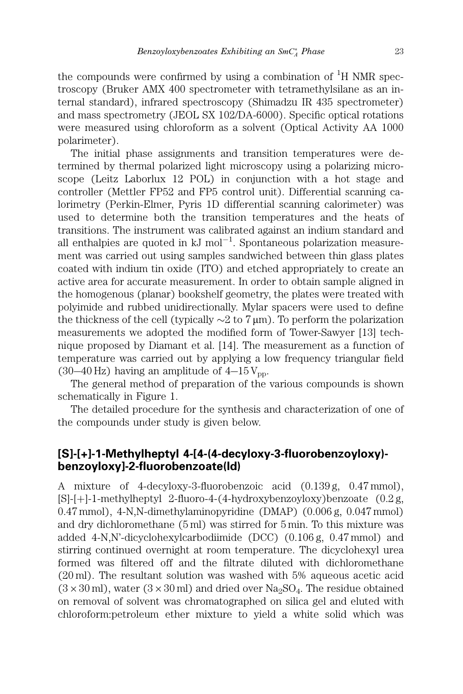the compounds were confirmed by using a combination of  ${}^{1}H$  NMR spectroscopy (Bruker AMX 400 spectrometer with tetramethylsilane as an internal standard), infrared spectroscopy (Shimadzu IR 435 spectrometer) and mass spectrometry (JEOL SX 102/DA-6000). Specific optical rotations were measured using chloroform as a solvent (Optical Activity AA 1000 polarimeter).

The initial phase assignments and transition temperatures were determined by thermal polarized light microscopy using a polarizing microscope (Leitz Laborlux 12 POL) in conjunction with a hot stage and controller (Mettler FP52 and FP5 control unit). Differential scanning calorimetry (Perkin-Elmer, Pyris 1D differential scanning calorimeter) was used to determine both the transition temperatures and the heats of transitions. The instrument was calibrated against an indium standard and all enthalpies are quoted in  $kJ \text{ mol}^{-1}$ . Spontaneous polarization measurement was carried out using samples sandwiched between thin glass plates coated with indium tin oxide (ITO) and etched appropriately to create an active area for accurate measurement. In order to obtain sample aligned in the homogenous (planar) bookshelf geometry, the plates were treated with polyimide and rubbed unidirectionally. Mylar spacers were used to define the thickness of the cell (typically  $\sim$ 2 to 7  $\mu$ m). To perform the polarization measurements we adopted the modified form of Tower-Sawyer [13] technique proposed by Diamant et al. [14]. The measurement as a function of temperature was carried out by applying a low frequency triangular field (30–40 Hz) having an amplitude of  $4-15$  V<sub>pp</sub>.

The general method of preparation of the various compounds is shown schematically in Figure 1.

The detailed procedure for the synthesis and characterization of one of the compounds under study is given below.

### [S]-[+]-1-Methylheptyl 4-[4-(4-decyloxy-3-fluorobenzoyloxy) benzoyloxy]-2-fluorobenzoate(ld)

A mixture of 4-decyloxy-3-fluorobenzoic acid (0.139 g, 0.47 mmol),  $[S]-[+]$ -1-methylheptyl 2-fluoro-4-(4-hydroxybenzoyloxy)benzoate (0.2 g,  $0.47$  mmol),  $4\text{-}N$ , N-dimethylaminopyridine (DMAP)  $(0.006 \text{ g}, 0.047 \text{ mmol})$ and dry dichloromethane (5 ml) was stirred for 5 min. To this mixture was added 4-N,N'-dicyclohexylcarbodiimide (DCC) (0.106 g, 0.47 mmol) and stirring continued overnight at room temperature. The dicyclohexyl urea formed was filtered off and the filtrate diluted with dichloromethane (20 ml). The resultant solution was washed with 5% aqueous acetic acid  $(3\times30 \,\mathrm{ml})$ , water  $(3\times30 \,\mathrm{ml})$  and dried over Na<sub>2</sub>SO<sub>4</sub>. The residue obtained on removal of solvent was chromatographed on silica gel and eluted with chloroform:petroleum ether mixture to yield a white solid which was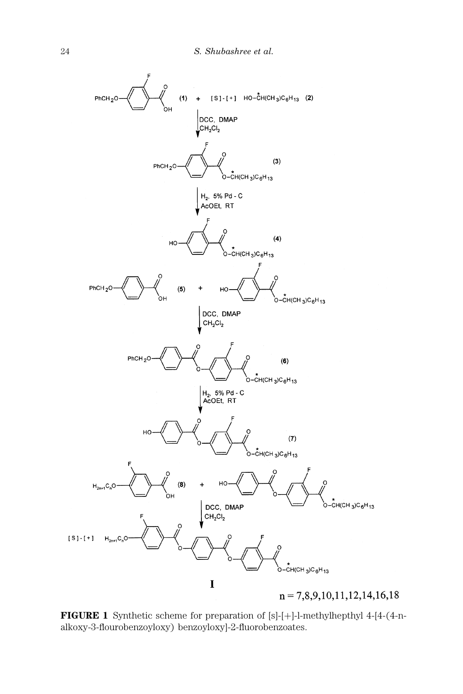

FIGURE 1 Synthetic scheme for preparation of [s]-[+]-l-methylhepthyl 4-[4-(4-nalkoxy-3-flourobenzoyloxy) benzoyloxy]-2-fluorobenzoates.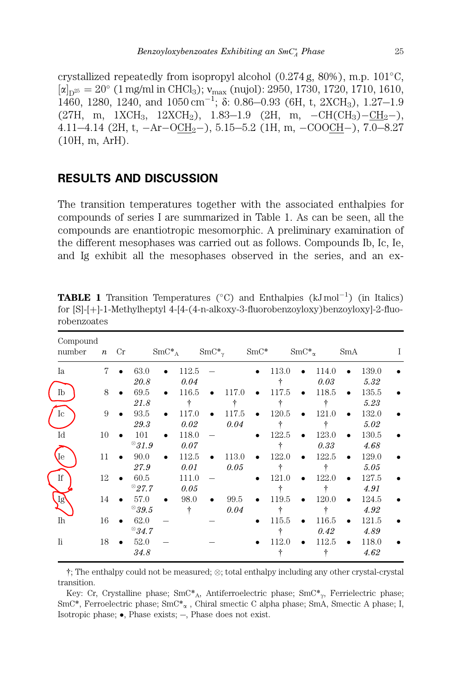$Benzoylox y benzoates\ Exhibiting\ an\ SmC_A^*$  Phase  $25$ 

crystallized repeatedly from isopropyl alcohol  $(0.274 \text{ g}, 80 \text{ %})$ , m.p.  $101^{\circ}$ C,  $[\alpha]_{D^{25}} = 20^{\circ}$  (1 mg/ml in CHCl<sub>3</sub>); v<sub>max</sub> (nujol): 2950, 1730, 1720, 1710, 1610, 1460, 1280, 1240, and  $1050 \text{ cm}^{-1}$ ;  $\delta$ : 0.86–0.93 (6H, t, 2XCH<sub>3</sub>), 1.27–1.9 (27H, m, 1XCH<sub>3</sub>, 12XCH<sub>2</sub>), 1.83-1.9 (2H, m, -CH(CH<sub>3</sub>)- $\underline{CH}_2$ -), 4.11-4.14 (2H, t,  $-Ar-OCH_2$ ), 5.15-5.2 (1H, m,  $-COOCH-$ ), 7.0-8.27 (10H, m, ArH).

# RESULTS AND DISCUSSION

The transition temperatures together with the associated enthalpies for compounds of series I are summarized in Table 1. As can be seen, all the compounds are enantiotropic mesomorphic. A preliminary examination of the different mesophases was carried out as follows. Compounds Ib, Ic, Ie, and Ig exhibit all the mesophases observed in the series, and an ex-

**TABLE 1** Transition Temperatures ( $^{\circ}$ C) and Enthalpies (kJ mol<sup>-1</sup>) (in Italics) for [S]-[þ]-1-Methylheptyl 4-[4-(4-n-alkoxy-3-fluorobenzoyloxy)benzoyloxy]-2-fluorobenzoates

| Compound<br>number | $\boldsymbol{n}$ | Cr |                                | $SmC^*$ <sub>A</sub> |       | $SmC^*_{\gamma}$ |       | $SmC^*$ |       | $SmC^*_{\alpha}$ |       | SmA |       | L |
|--------------------|------------------|----|--------------------------------|----------------------|-------|------------------|-------|---------|-------|------------------|-------|-----|-------|---|
| Ia                 | 7                |    | 63.0                           |                      | 112.5 |                  |       |         | 113.0 |                  | 114.0 |     | 139.0 |   |
|                    |                  |    | 20.8                           |                      | 0.04  |                  |       |         | ÷     |                  | 0.03  |     | 5.32  |   |
| Ib                 | 8                |    | 69.5                           |                      | 116.5 |                  | 117.0 |         | 117.5 |                  | 118.5 |     | 135.5 |   |
|                    |                  |    | 21.8                           |                      | ÷     |                  | ÷     |         | ÷     |                  | ÷     |     | 5.23  |   |
| Ic                 | 9                |    | 93.5                           |                      | 117.0 |                  | 117.5 |         | 120.5 |                  | 121.0 |     | 132.0 |   |
|                    |                  |    | 29.3                           |                      | 0.02  |                  | 0.04  |         | ÷     |                  | ÷     |     | 5.02  |   |
| Id                 | 10               |    | 101                            |                      | 118.0 |                  |       |         | 122.5 | $\bullet$        | 123.0 |     | 130.5 |   |
|                    |                  |    | $^{\otimes}31.9$               |                      | 0.07  |                  |       |         |       |                  | 0.33  |     | 4.68  |   |
| Je                 | 11               |    | 90.0                           | $\bullet$            | 112.5 |                  | 113.0 |         | 122.0 |                  | 122.5 |     | 129.0 |   |
|                    |                  |    | 27.9                           |                      | 0.01  |                  | 0.05  |         | ÷     |                  | ÷     |     | 5.05  |   |
| If                 | 12               |    | 60.5                           |                      | 111.0 |                  |       |         | 121.0 |                  | 122.0 |     | 127.5 |   |
|                    |                  |    | $^{\circ}27.7$                 |                      | 0.05  |                  |       |         |       |                  | ÷     |     | 4.91  |   |
| Ig                 | 14               |    | 57.0                           |                      | 98.0  |                  | 99.5  |         | 119.5 |                  | 120.0 |     | 124.5 |   |
|                    |                  |    | $^\otimes$ 39.5                |                      | ÷     |                  | 0.04  |         |       |                  | ÷     |     | 4.92  |   |
| Ih                 | 16               |    | 62.0                           |                      |       |                  |       |         | 115.5 | $\bullet$        | 116.5 |     | 121.5 |   |
|                    |                  |    | $^\otimes\hspace{-0.03cm}34.7$ |                      |       |                  |       |         |       |                  | 0.42  |     | 4.89  |   |
| <b>Ii</b>          | 18               |    | 52.0                           |                      |       |                  |       |         | 112.0 |                  | 112.5 |     | 118.0 |   |
|                    |                  |    | 34.8                           |                      |       |                  |       |         |       |                  | ÷     |     | 4.62  |   |

 $\dagger$ ; The enthalpy could not be measured;  $\otimes$ ; total enthalpy including any other crystal-crystal transition.

Key: Cr, Crystalline phase;  $SmC^*_{A}$ , Antiferroelectric phase;  $SmC^*_{\gamma}$ , Ferrielectric phase; SmC\*, Ferroelectric phase; SmC\* $_{\alpha}$ , Chiral smectic C alpha phase; SmA, Smectic A phase; I, Isotropic phase;  $\bullet$ , Phase exists; -, Phase does not exist.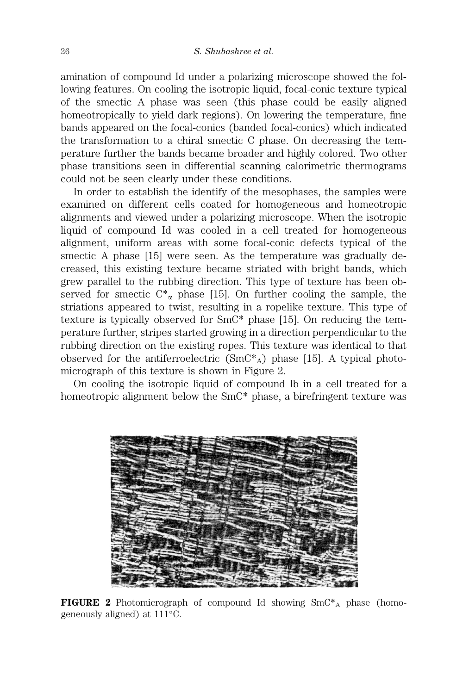amination of compound Id under a polarizing microscope showed the following features. On cooling the isotropic liquid, focal-conic texture typical of the smectic A phase was seen (this phase could be easily aligned homeotropically to yield dark regions). On lowering the temperature, fine bands appeared on the focal-conics (banded focal-conics) which indicated the transformation to a chiral smectic C phase. On decreasing the temperature further the bands became broader and highly colored. Two other phase transitions seen in differential scanning calorimetric thermograms could not be seen clearly under these conditions.

In order to establish the identify of the mesophases, the samples were examined on different cells coated for homogeneous and homeotropic alignments and viewed under a polarizing microscope. When the isotropic liquid of compound Id was cooled in a cell treated for homogeneous alignment, uniform areas with some focal-conic defects typical of the smectic A phase [15] were seen. As the temperature was gradually decreased, this existing texture became striated with bright bands, which grew parallel to the rubbing direction. This type of texture has been observed for smectic  $C^*$ <sub>α</sub> phase [15]. On further cooling the sample, the striations appeared to twist, resulting in a ropelike texture. This type of texture is typically observed for SmC\* phase [15]. On reducing the temperature further, stripes started growing in a direction perpendicular to the rubbing direction on the existing ropes. This texture was identical to that observed for the antiferroelectric  $(SmC^*_{A})$  phase [15]. A typical photomicrograph of this texture is shown in Figure 2.

On cooling the isotropic liquid of compound Ib in a cell treated for a homeotropic alignment below the SmC\* phase, a birefringent texture was



**FIGURE 2** Photomicrograph of compound Id showing  $SmC^*$ <sub>A</sub> phase (homogeneously aligned) at  $111^{\circ}$ C.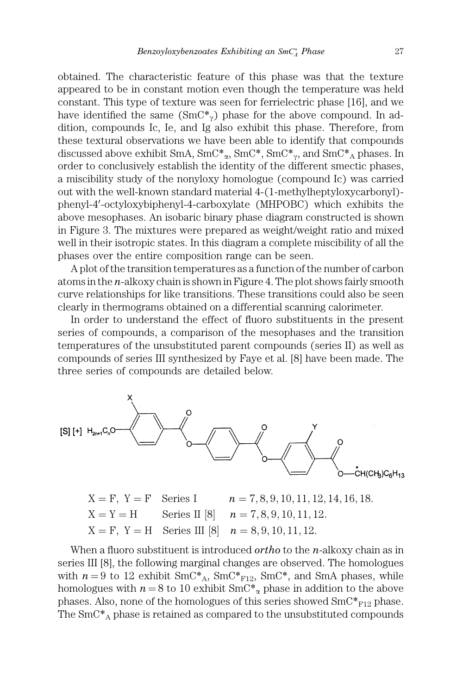obtained. The characteristic feature of this phase was that the texture appeared to be in constant motion even though the temperature was held constant. This type of texture was seen for ferrielectric phase [16], and we have identified the same  $(SmC^*)$  phase for the above compound. In addition, compounds Ic, Ie, and Ig also exhibit this phase. Therefore, from these textural observations we have been able to identify that compounds discussed above exhibit SmA,  $SmC^*_{\alpha}$ , SmC<sup>\*</sup>, SmC<sup>\*</sup><sub>y</sub>, and SmC<sup>\*</sup><sub>A</sub> phases. In order to conclusively establish the identity of the different smectic phases, a miscibility study of the nonyloxy homologue (compound Ic) was carried out with the well-known standard material 4-(1-methylheptyloxycarbonyl) phenyl-4'-octyloxybiphenyl-4-carboxylate (MHPOBC) which exhibits the above mesophases. An isobaric binary phase diagram constructed is shown in Figure 3. The mixtures were prepared as weight/weight ratio and mixed well in their isotropic states. In this diagram a complete miscibility of all the phases over the entire composition range can be seen.

A plot of the transition temperatures as a function of the number of carbon atoms in the  $n$ -alkoxy chain is shown in Figure 4. The plot shows fairly smooth curve relationships for like transitions. These transitions could also be seen clearly in thermograms obtained on a differential scanning calorimeter.

In order to understand the effect of fluoro substituents in the present series of compounds, a comparison of the mesophases and the transition temperatures of the unsubstituted parent compounds (series II) as well as compounds of series III synthesized by Faye et al. [8] have been made. The three series of compounds are detailed below.



 $X = F$ ,  $Y = F$  Series I  $n = 7, 8, 9, 10, 11, 12, 14, 16, 18.$  $X = Y = H$  Series II [8]  $n = 7, 8, 9, 10, 11, 12$ .  $X = F$ ,  $Y = H$  Series III [8]  $n = 8, 9, 10, 11, 12$ .

When a fluoro substituent is introduced  $ortho$  to the *n*-alkoxy chain as in series III [8], the following marginal changes are observed. The homologues with  $n = 9$  to 12 exhibit  $SmC^*_{A}$ ,  $SmC^*_{F12}$ ,  $SmC^*$ , and SmA phases, while homologues with  $n = 8$  to 10 exhibit SmC<sup>\*</sup><sub>a</sub> phase in addition to the above phases. Also, none of the homologues of this series showed  $SmC^*_{F12}$  phase. The  $SmC^*$ <sub>A</sub> phase is retained as compared to the unsubstituted compounds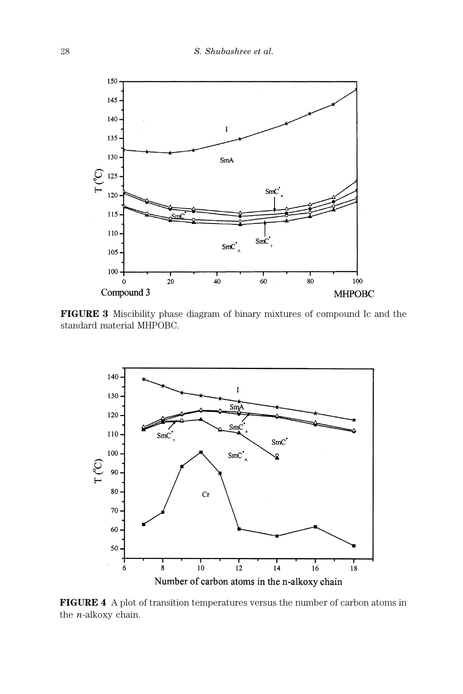

FIGURE 3 Miscibility phase diagram of binary mixtures of compound Ic and the standard material MHPOBC.



FIGURE 4 A plot of transition temperatures versus the number of carbon atoms in the  $n$ -alkoxy chain.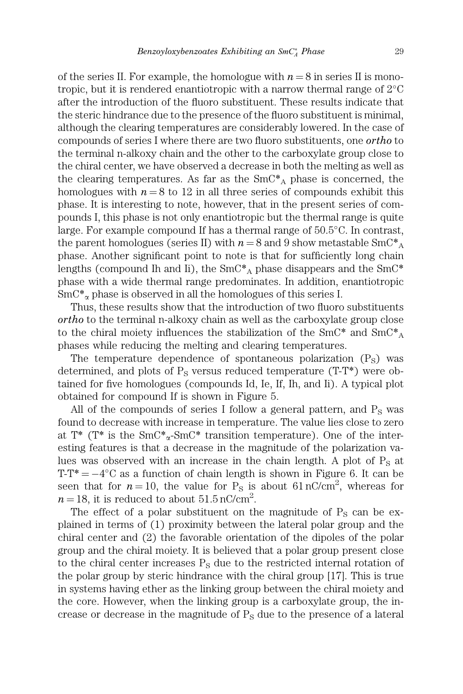of the series II. For example, the homologue with  $n = 8$  in series II is monotropic, but it is rendered enantiotropic with a narrow thermal range of  $2^{\circ}C$ after the introduction of the fluoro substituent. These results indicate that the steric hindrance due to the presence of the fluoro substituent is minimal, although the clearing temperatures are considerably lowered. In the case of compounds of series I where there are two fluoro substituents, one ortho to the terminal n-alkoxy chain and the other to the carboxylate group close to the chiral center, we have observed a decrease in both the melting as well as the clearing temperatures. As far as the  $SmC^*$ <sub>A</sub> phase is concerned, the homologues with  $n = 8$  to 12 in all three series of compounds exhibit this phase. It is interesting to note, however, that in the present series of compounds I, this phase is not only enantiotropic but the thermal range is quite large. For example compound If has a thermal range of  $50.5^{\circ}$ C. In contrast, the parent homologues (series II) with  $n = 8$  and 9 show metastable SmC<sup>\*</sup><sub>A</sub> phase. Another significant point to note is that for sufficiently long chain lengths (compound Ih and Ii), the  $SmC^*$ <sub>A</sub> phase disappears and the  $SmC^*$ phase with a wide thermal range predominates. In addition, enantiotropic  $SmC^*$ <sub>x</sub> phase is observed in all the homologues of this series I.

Thus, these results show that the introduction of two fluoro substituents ortho to the terminal n-alkoxy chain as well as the carboxylate group close to the chiral moiety influences the stabilization of the  $SmC^*$  and  $SmC^*$ phases while reducing the melting and clearing temperatures.

The temperature dependence of spontaneous polarization  $(P<sub>S</sub>)$  was determined, and plots of  $P_S$  versus reduced temperature (T-T\*) were obtained for five homologues (compounds Id, Ie, If, Ih, and Ii). A typical plot obtained for compound If is shown in Figure 5.

All of the compounds of series I follow a general pattern, and  $P_S$  was found to decrease with increase in temperature. The value lies close to zero at  $T^*$  ( $T^*$  is the  $SmC^*_{\alpha}$ -SmC<sup>\*</sup> transition temperature). One of the interesting features is that a decrease in the magnitude of the polarization values was observed with an increase in the chain length. A plot of  $P<sub>S</sub>$  at  $T-T^* = -4$ °C as a function of chain length is shown in Figure 6. It can be seen that for  $n = 10$ , the value for  $P_S$  is about 61 nC/cm<sup>2</sup>, whereas for  $n = 18$ , it is reduced to about  $51.5 \,\mathrm{nC/cm^2}$ .

The effect of a polar substituent on the magnitude of  $P_S$  can be explained in terms of (1) proximity between the lateral polar group and the chiral center and (2) the favorable orientation of the dipoles of the polar group and the chiral moiety. It is believed that a polar group present close to the chiral center increases  $P<sub>S</sub>$  due to the restricted internal rotation of the polar group by steric hindrance with the chiral group [17]. This is true in systems having ether as the linking group between the chiral moiety and the core. However, when the linking group is a carboxylate group, the increase or decrease in the magnitude of  $P<sub>S</sub>$  due to the presence of a lateral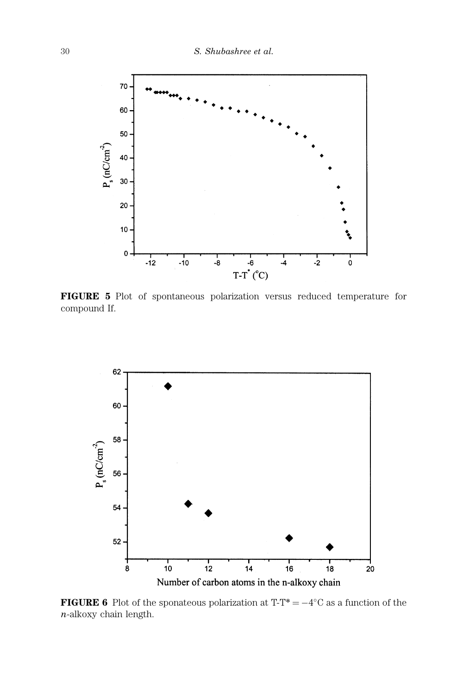

FIGURE 5 Plot of spontaneous polarization versus reduced temperature for compound If.



**FIGURE 6** Plot of the sponateous polarization at  $T-T^* = -4^\circ \text{C}$  as a function of the n-alkoxy chain length.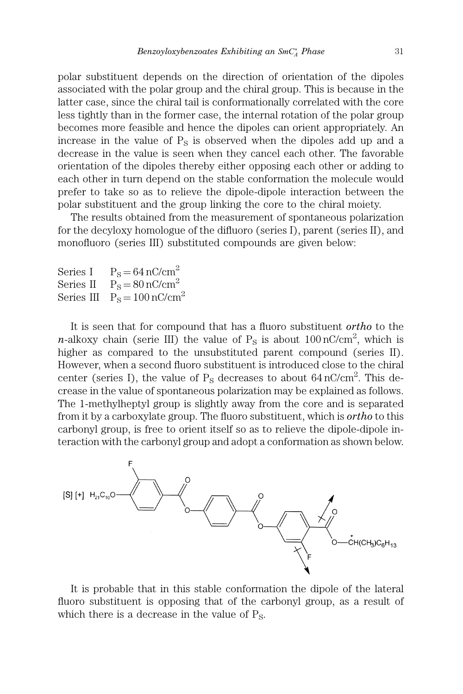polar substituent depends on the direction of orientation of the dipoles associated with the polar group and the chiral group. This is because in the latter case, since the chiral tail is conformationally correlated with the core less tightly than in the former case, the internal rotation of the polar group becomes more feasible and hence the dipoles can orient appropriately. An increase in the value of  $P<sub>S</sub>$  is observed when the dipoles add up and a decrease in the value is seen when they cancel each other. The favorable orientation of the dipoles thereby either opposing each other or adding to each other in turn depend on the stable conformation the molecule would prefer to take so as to relieve the dipole-dipole interaction between the polar substituent and the group linking the core to the chiral moiety.

The results obtained from the measurement of spontaneous polarization for the decyloxy homologue of the difluoro (series I), parent (series II), and monofluoro (series III) substituted compounds are given below:

Series I  $P_s = 64$  nC/cm<sup>2</sup> Series II  $P_S = 80 \text{ nC/cm}^2$ Series III  $P_s = 100 \text{ nC/cm}^2$ 

It is seen that for compound that has a fluoro substituent ortho to the *n*-alkoxy chain (serie III) the value of  $P_S$  is about  $100 \text{ nC/cm}^2$ , which is higher as compared to the unsubstituted parent compound (series II). However, when a second fluoro substituent is introduced close to the chiral center (series I), the value of  $P_S$  decreases to about  $64 \text{ nC/cm}^2$ . This decrease in the value of spontaneous polarization may be explained as follows. The 1-methylheptyl group is slightly away from the core and is separated from it by a carboxylate group. The fluoro substituent, which is ortho to this carbonyl group, is free to orient itself so as to relieve the dipole-dipole interaction with the carbonyl group and adopt a conformation as shown below.



It is probable that in this stable conformation the dipole of the lateral fluoro substituent is opposing that of the carbonyl group, as a result of which there is a decrease in the value of  $P_{\rm S}$ .